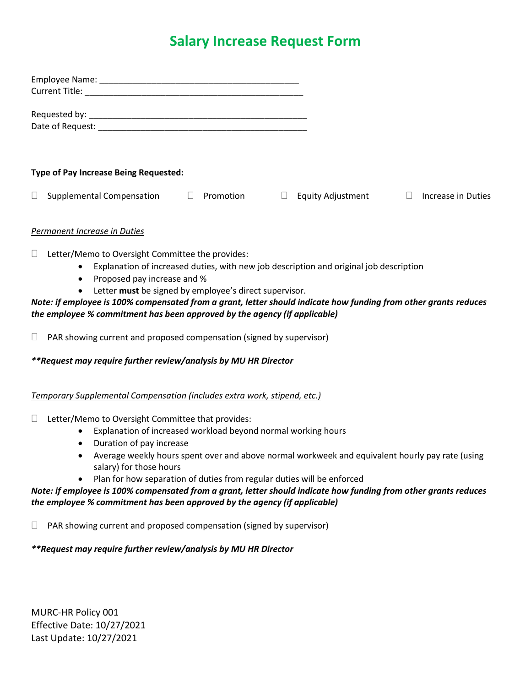# **Salary Increase Request Form**

| <b>Type of Pay Increase Being Requested:</b> |           |                          |                    |
|----------------------------------------------|-----------|--------------------------|--------------------|
| <b>Supplemental Compensation</b>             | Promotion | <b>Equity Adjustment</b> | Increase in Duties |

## *Permanent Increase in Duties*

 $\Box$  Letter/Memo to Oversight Committee the provides:

- Explanation of increased duties, with new job description and original job description
- Proposed pay increase and %
- Letter **must** be signed by employee's direct supervisor.

## *Note: if employee is 100% compensated from a grant, letter should indicate how funding from other grants reduces the employee % commitment has been approved by the agency (if applicable)*

 $\Box$  PAR showing current and proposed compensation (signed by supervisor)

*\*\*Request may require further review/analysis by MU HR Director*

### *Temporary Supplemental Compensation (includes extra work, stipend, etc.)*

### $\Box$  Letter/Memo to Oversight Committee that provides:

- Explanation of increased workload beyond normal working hours
- Duration of pay increase
- Average weekly hours spent over and above normal workweek and equivalent hourly pay rate (using salary) for those hours
- Plan for how separation of duties from regular duties will be enforced

## *Note: if employee is 100% compensated from a grant, letter should indicate how funding from other grants reduces the employee % commitment has been approved by the agency (if applicable)*

 $\Box$  PAR showing current and proposed compensation (signed by supervisor)

# *\*\*Request may require further review/analysis by MU HR Director*

MURC-HR Policy 001 Effective Date: 10/27/2021 Last Update: 10/27/2021